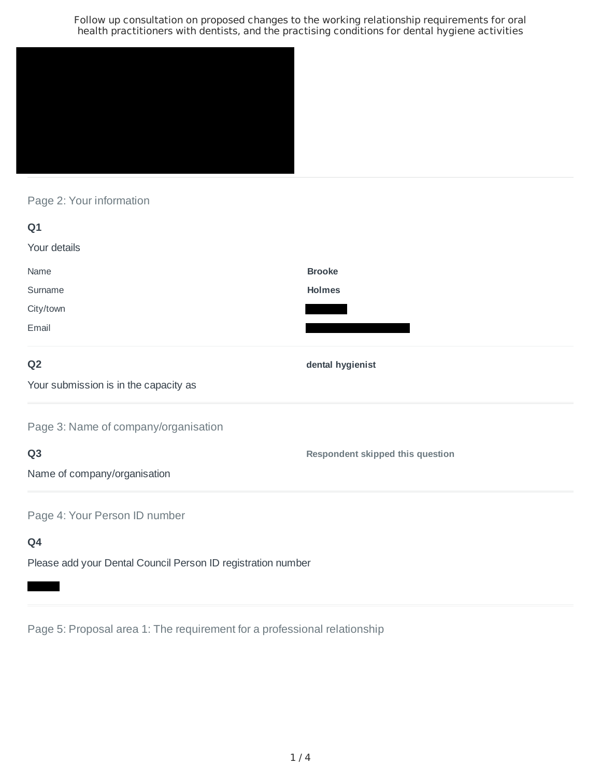

Page 2: Your information

| Q1                                    |                                         |
|---------------------------------------|-----------------------------------------|
| Your details                          |                                         |
| Name                                  | <b>Brooke</b>                           |
| Surname                               | <b>Holmes</b>                           |
| City/town                             |                                         |
| Email                                 |                                         |
| Q <sub>2</sub>                        | dental hygienist                        |
| Your submission is in the capacity as |                                         |
| Page 3: Name of company/organisation  |                                         |
| Q <sub>3</sub>                        | <b>Respondent skipped this question</b> |
| Name of company/organisation          |                                         |
| Page 4: Your Person ID number         |                                         |
| Q4                                    |                                         |

Please add your Dental Council Person ID registration number

Page 5: Proposal area 1: The requirement for a professional relationship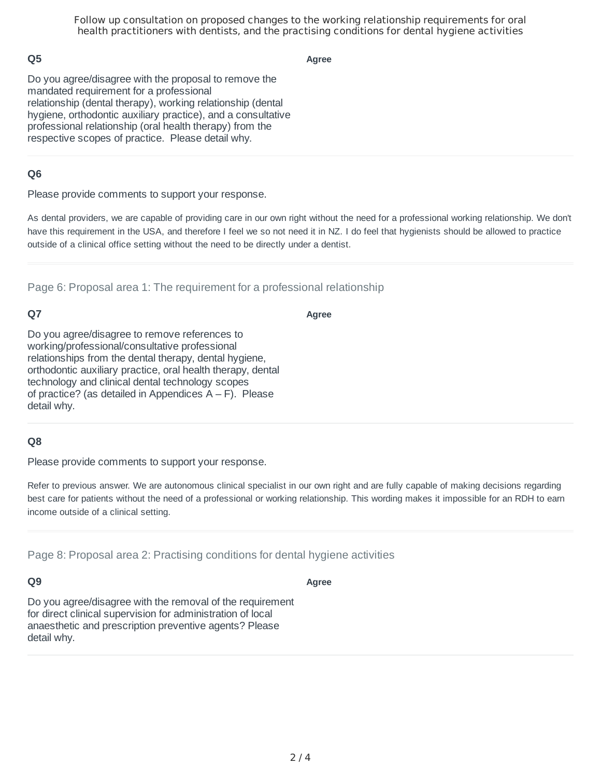## **Q5**

**Agree**

Do you agree/disagree with the proposal to remove the mandated requirement for a professional relationship (dental therapy), working relationship (dental hygiene, orthodontic auxiliary practice), and a consultative professional relationship (oral health therapy) from the respective scopes of practice. Please detail why.

### **Q6**

Please provide comments to support your response.

As dental providers, we are capable of providing care in our own right without the need for a professional working relationship. We don't have this requirement in the USA, and therefore I feel we so not need it in NZ. I do feel that hygienists should be allowed to practice outside of a clinical office setting without the need to be directly under a dentist.

Page 6: Proposal area 1: The requirement for a professional relationship

# **Q7**

**Agree**

Do you agree/disagree to remove references to working/professional/consultative professional relationships from the dental therapy, dental hygiene, orthodontic auxiliary practice, oral health therapy, dental technology and clinical dental technology scopes of practice? (as detailed in Appendices  $A - F$ ). Please detail why.

#### **Q8**

Please provide comments to support your response.

Refer to previous answer. We are autonomous clinical specialist in our own right and are fully capable of making decisions regarding best care for patients without the need of a professional or working relationship. This wording makes it impossible for an RDH to earn income outside of a clinical setting.

**Agree**

Page 8: Proposal area 2: Practising conditions for dental hygiene activities

#### **Q9**

Do you agree/disagree with the removal of the requirement for direct clinical supervision for administration of local anaesthetic and prescription preventive agents? Please detail why.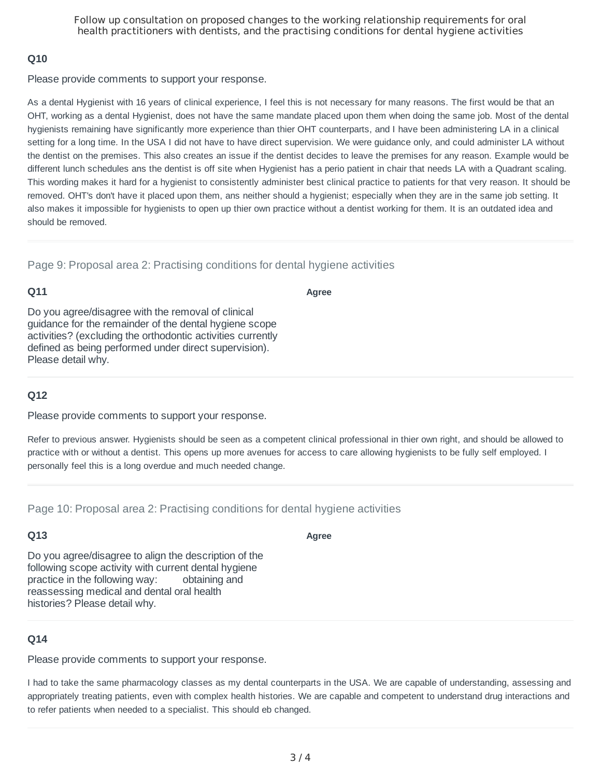### **Q10**

Please provide comments to support your response.

As a dental Hygienist with 16 years of clinical experience, I feel this is not necessary for many reasons. The first would be that an OHT, working as a dental Hygienist, does not have the same mandate placed upon them when doing the same job. Most of the dental hygienists remaining have significantly more experience than thier OHT counterparts, and I have been administering LA in a clinical setting for a long time. In the USA I did not have to have direct supervision. We were guidance only, and could administer LA without the dentist on the premises. This also creates an issue if the dentist decides to leave the premises for any reason. Example would be different lunch schedules ans the dentist is off site when Hygienist has a perio patient in chair that needs LA with a Quadrant scaling. This wording makes it hard for a hygienist to consistently administer best clinical practice to patients for that very reason. It should be removed. OHT's don't have it placed upon them, ans neither should a hygienist; especially when they are in the same job setting. It also makes it impossible for hygienists to open up thier own practice without a dentist working for them. It is an outdated idea and should be removed.

Page 9: Proposal area 2: Practising conditions for dental hygiene activities

## **Q11**

**Agree**

Do you agree/disagree with the removal of clinical guidance for the remainder of the dental hygiene scope activities? (excluding the orthodontic activities currently defined as being performed under direct supervision). Please detail why.

## **Q12**

Please provide comments to support your response.

Refer to previous answer. Hygienists should be seen as a competent clinical professional in thier own right, and should be allowed to practice with or without a dentist. This opens up more avenues for access to care allowing hygienists to be fully self employed. I personally feel this is a long overdue and much needed change.

Page 10: Proposal area 2: Practising conditions for dental hygiene activities

## **Q13**

**Agree**

Do you agree/disagree to align the description of the following scope activity with current dental hygiene practice in the following way: obtaining and reassessing medical and dental oral health histories? Please detail why.

# **Q14**

Please provide comments to support your response.

I had to take the same pharmacology classes as my dental counterparts in the USA. We are capable of understanding, assessing and appropriately treating patients, even with complex health histories. We are capable and competent to understand drug interactions and to refer patients when needed to a specialist. This should eb changed.